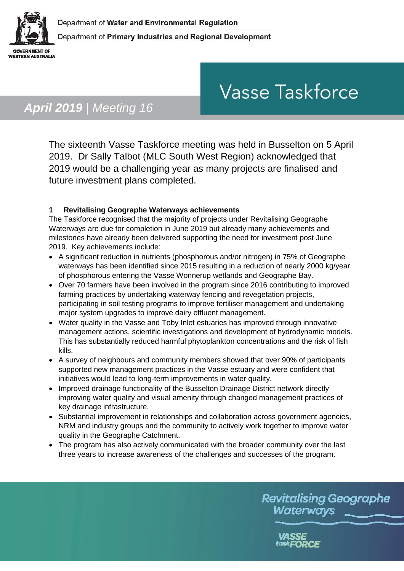

# **Vasse Taskforce**

# *April 2019 | Meeting 16*

The sixteenth Vasse Taskforce meeting was held in Busselton on 5 April 2019. Dr Sally Talbot (MLC South West Region) acknowledged that 2019 would be a challenging year as many projects are finalised and future investment plans completed.

### **1 Revitalising Geographe Waterways achievements**

The Taskforce recognised that the majority of projects under Revitalising Geographe Waterways are due for completion in June 2019 but already many achievements and milestones have already been delivered supporting the need for investment post June 2019. Key achievements include:

- A significant reduction in nutrients (phosphorous and/or nitrogen) in 75% of Geographe waterways has been identified since 2015 resulting in a reduction of nearly 2000 kg/year of phosphorous entering the Vasse Wonnerup wetlands and Geographe Bay.
- Over 70 farmers have been involved in the program since 2016 contributing to improved farming practices by undertaking waterway fencing and revegetation projects, participating in soil testing programs to improve fertiliser management and undertaking major system upgrades to improve dairy effluent management.
- Water quality in the Vasse and Toby Inlet estuaries has improved through innovative management actions, scientific investigations and development of hydrodynamic models. This has substantially reduced harmful phytoplankton concentrations and the risk of fish kills.
- A survey of neighbours and community members showed that over 90% of participants supported new management practices in the Vasse estuary and were confident that initiatives would lead to long-term improvements in water quality.
- Improved drainage functionality of the Busselton Drainage District network directly improving water quality and visual amenity through changed management practices of key drainage infrastructure.
- Substantial improvement in relationships and collaboration across government agencies, NRM and industry groups and the community to actively work together to improve water quality in the Geographe Catchment.
- The program has also actively communicated with the broader community over the last three years to increase awareness of the challenges and successes of the program.

**Revitalising Geographe** Waterways

task**FORCE**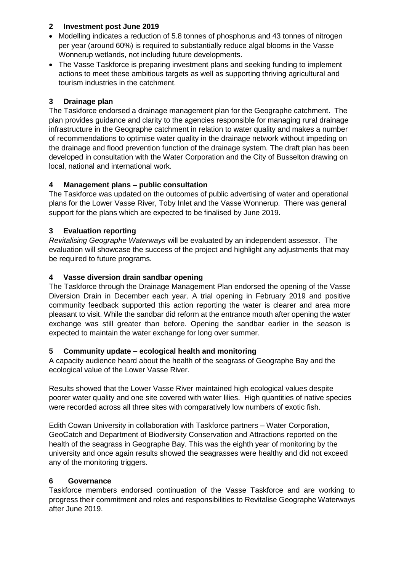#### **2 Investment post June 2019**

- Modelling indicates a reduction of 5.8 tonnes of phosphorus and 43 tonnes of nitrogen per year (around 60%) is required to substantially reduce algal blooms in the Vasse Wonnerup wetlands, not including future developments.
- The Vasse Taskforce is preparing investment plans and seeking funding to implement actions to meet these ambitious targets as well as supporting thriving agricultural and tourism industries in the catchment.

#### **3 Drainage plan**

The Taskforce endorsed a drainage management plan for the Geographe catchment. The plan provides guidance and clarity to the agencies responsible for managing rural drainage infrastructure in the Geographe catchment in relation to water quality and makes a number of recommendations to optimise water quality in the drainage network without impeding on the drainage and flood prevention function of the drainage system. The draft plan has been developed in consultation with the Water Corporation and the City of Busselton drawing on local, national and international work.

#### **4 Management plans – public consultation**

The Taskforce was updated on the outcomes of public advertising of water and operational plans for the Lower Vasse River, Toby Inlet and the Vasse Wonnerup. There was general support for the plans which are expected to be finalised by June 2019.

#### **3 Evaluation reporting**

*Revitalising Geographe Waterways* will be evaluated by an independent assessor. The evaluation will showcase the success of the project and highlight any adjustments that may be required to future programs.

#### **4 Vasse diversion drain sandbar opening**

The Taskforce through the Drainage Management Plan endorsed the opening of the Vasse Diversion Drain in December each year. A trial opening in February 2019 and positive community feedback supported this action reporting the water is clearer and area more pleasant to visit. While the sandbar did reform at the entrance mouth after opening the water exchange was still greater than before. Opening the sandbar earlier in the season is expected to maintain the water exchange for long over summer.

#### **5 Community update – ecological health and monitoring**

A capacity audience heard about the health of the seagrass of Geographe Bay and the ecological value of the Lower Vasse River.

Results showed that the Lower Vasse River maintained high ecological values despite poorer water quality and one site covered with water lilies. High quantities of native species were recorded across all three sites with comparatively low numbers of exotic fish.

Edith Cowan University in collaboration with Taskforce partners – Water Corporation, GeoCatch and Department of Biodiversity Conservation and Attractions reported on the health of the seagrass in Geographe Bay. This was the eighth year of monitoring by the university and once again results showed the seagrasses were healthy and did not exceed any of the monitoring triggers.

#### **6 Governance**

Taskforce members endorsed continuation of the Vasse Taskforce and are working to progress their commitment and roles and responsibilities to Revitalise Geographe Waterways after June 2019.